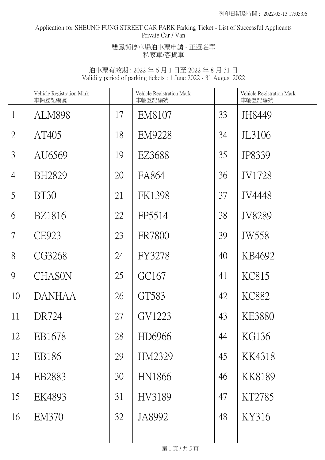# Application for SHEUNG FUNG STREET CAR PARK Parking Ticket - List of Successful Applicants Private Car / Van

### 雙鳳街停車場泊車票申請 - 正選名單 私家車/客貨車

|                | Vehicle Registration Mark<br>車輛登記編號 |    | Vehicle Registration Mark<br>車輛登記編號 |    | Vehicle Registration Mark<br>車輛登記編號 |
|----------------|-------------------------------------|----|-------------------------------------|----|-------------------------------------|
| $\mathbf{1}$   | <b>ALM898</b>                       | 17 | EM8107                              | 33 | JH8449                              |
| $\overline{2}$ | AT405                               | 18 | <b>EM9228</b>                       | 34 | JL3106                              |
| $\mathfrak{Z}$ | AU6569                              | 19 | EZ3688                              | 35 | JP8339                              |
| $\overline{4}$ | <b>BH2829</b>                       | 20 | FA864                               | 36 | JV1728                              |
| 5              | <b>BT30</b>                         | 21 | <b>FK1398</b>                       | 37 | JV4448                              |
| 6              | <b>BZ1816</b>                       | 22 | FP5514                              | 38 | JV8289                              |
| 7              | CE923                               | 23 | <b>FR7800</b>                       | 39 | JW558                               |
| 8              | CG3268                              | 24 | FY3278                              | 40 | KB4692                              |
| 9              | CHASON                              | 25 | GC167                               | 41 | KC815                               |
| 10             | <b>DANHAA</b>                       | 26 | GT583                               | 42 | KC882                               |
| 11             | DR724                               | 27 | GV1223                              | 43 | <b>KE3880</b>                       |
| 12             | EB1678                              | 28 | HD6966                              | 44 | <b>KG136</b>                        |
| 13             | EB186                               | 29 | HM2329                              | 45 | KK4318                              |
| 14             | EB2883                              | 30 | HN1866                              | 46 | KK8189                              |
| 15             | EK4893                              | 31 | HV3189                              | 47 | KT2785                              |
| 16             | <b>EM370</b>                        | 32 | JA8992                              | 48 | KY316                               |
|                |                                     |    |                                     |    |                                     |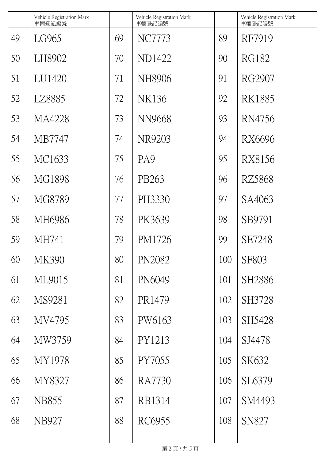|    | Vehicle Registration Mark<br>車輛登記編號 |    | Vehicle Registration Mark<br>車輛登記編號 |     | Vehicle Registration Mark<br>車輛登記編號 |
|----|-------------------------------------|----|-------------------------------------|-----|-------------------------------------|
| 49 | LG965                               | 69 | NC7773                              | 89  | RF7919                              |
| 50 | LH8902                              | 70 | ND1422                              | 90  | <b>RG182</b>                        |
| 51 | LU1420                              | 71 | NH8906                              | 91  | RG2907                              |
| 52 | LZ8885                              | 72 | NK136                               | 92  | RK1885                              |
| 53 | MA4228                              | 73 | NN9668                              | 93  | RN4756                              |
| 54 | MB7747                              | 74 | NR9203                              | 94  | RX6696                              |
| 55 | MC1633                              | 75 | PA <sub>9</sub>                     | 95  | RX8156                              |
| 56 | MG1898                              | 76 | PB263                               | 96  | RZ5868                              |
| 57 | MG8789                              | 77 | PH3330                              | 97  | SA4063                              |
| 58 | MH6986                              | 78 | PK3639                              | 98  | SB9791                              |
| 59 | MH741                               | 79 | PM1726                              | 99  | SE7248                              |
| 60 | <b>MK390</b>                        | 80 | PN2082                              | 100 | <b>SF803</b>                        |
| 61 | ML9015                              | 81 | PN6049                              | 101 | SH2886                              |
| 62 | MS9281                              | 82 | PR1479                              | 102 | SH3728                              |
| 63 | MV4795                              | 83 | PW6163                              | 103 | SH5428                              |
| 64 | MW3759                              | 84 | PY1213                              | 104 | SJ4478                              |
| 65 | MY1978                              | 85 | PY7055                              | 105 | SK632                               |
| 66 | MY8327                              | 86 | <b>RA7730</b>                       | 106 | SL6379                              |
| 67 | <b>NB855</b>                        | 87 | RB1314                              | 107 | SM4493                              |
| 68 | <b>NB927</b>                        | 88 | RC6955                              | 108 | <b>SN827</b>                        |
|    |                                     |    |                                     |     |                                     |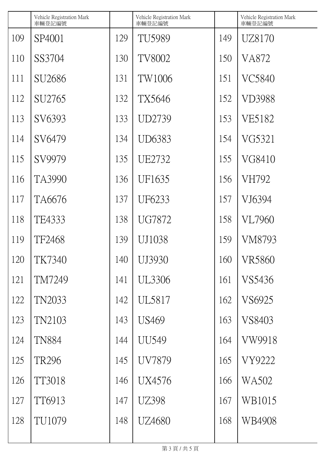|     | Vehicle Registration Mark<br>車輛登記編號 |     | Vehicle Registration Mark<br>車輛登記編號 |     | Vehicle Registration Mark<br>車輛登記編號 |
|-----|-------------------------------------|-----|-------------------------------------|-----|-------------------------------------|
| 109 | SP4001                              | 129 | TU5989                              | 149 | UZ8170                              |
| 110 | SS3704                              | 130 | <b>TV8002</b>                       | 150 | VA872                               |
| 111 | SU2686                              | 131 | TW1006                              | 151 | VC5840                              |
| 112 | SU2765                              | 132 | TX5646                              | 152 | VD3988                              |
| 113 | SV6393                              | 133 | UD2739                              | 153 | VE5182                              |
| 114 | SV6479                              | 134 | UD6383                              | 154 | VG5321                              |
| 115 | SV9979                              | 135 | UE2732                              | 155 | VG8410                              |
| 116 | TA3990                              | 136 | UF1635                              | 156 | VH792                               |
| 117 | TA6676                              | 137 | UF6233                              | 157 | VJ6394                              |
| 118 | TE4333                              | 138 | <b>UG7872</b>                       | 158 | VL7960                              |
| 119 | TF2468                              | 139 | UJ1038                              | 159 | VM8793                              |
| 120 | <b>TK7340</b>                       | 140 | UJ3930                              | 160 | <b>VR5860</b>                       |
| 121 | TM7249                              | 141 | <b>UL3306</b>                       | 161 | VS5436                              |
| 122 | TN2033                              | 142 | UL5817                              | 162 | VS6925                              |
| 123 | TN2103                              | 143 | <b>US469</b>                        | 163 | VS8403                              |
| 124 | <b>TN884</b>                        | 144 | <b>UU549</b>                        | 164 | VW9918                              |
| 125 | <b>TR296</b>                        | 145 | <b>UV7879</b>                       | 165 | VY9222                              |
| 126 | TT3018                              | 146 | UX4576                              | 166 | WA502                               |
| 127 | TT6913                              | 147 | UZ398                               | 167 | WB1015                              |
| 128 | TU1079                              | 148 | UZ4680                              | 168 | WB4908                              |
|     |                                     |     |                                     |     |                                     |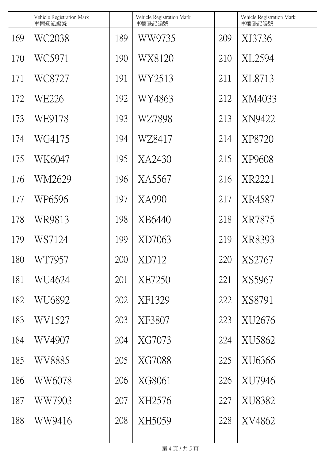|     | Vehicle Registration Mark<br>車輛登記編號 |     | Vehicle Registration Mark<br>車輛登記編號 |     | Vehicle Registration Mark<br>車輛登記編號 |
|-----|-------------------------------------|-----|-------------------------------------|-----|-------------------------------------|
| 169 | WC2038                              | 189 | WW9735                              | 209 | XJ3736                              |
| 170 | WC5971                              | 190 | WX8120                              | 210 | XL2594                              |
| 171 | WC8727                              | 191 | WY2513                              | 211 | XL8713                              |
| 172 | WE226                               | 192 | WY4863                              | 212 | XM4033                              |
| 173 | WE9178                              | 193 | WZ7898                              | 213 | XN9422                              |
| 174 | WG4175                              | 194 | WZ8417                              | 214 | XP8720                              |
| 175 | WK6047                              | 195 | XA2430                              | 215 | XP9608                              |
| 176 | WM2629                              | 196 | XA5567                              | 216 | XR2221                              |
| 177 | WP6596                              | 197 | XA990                               | 217 | XR4587                              |
| 178 | WR9813                              | 198 | XB6440                              | 218 | XR7875                              |
| 179 | WS7124                              | 199 | XD7063                              | 219 | XR8393                              |
| 180 | WT7957                              | 200 | XD712                               | 220 | XS2767                              |
| 181 | WU4624                              | 201 | <b>XE7250</b>                       | 221 | XS5967                              |
| 182 | WU6892                              | 202 | XF1329                              | 222 | XS8791                              |
| 183 | WV1527                              | 203 | XF3807                              | 223 | XU2676                              |
| 184 | WV4907                              | 204 | XG7073                              | 224 | XU5862                              |
| 185 | WV8885                              | 205 | XG7088                              | 225 | XU6366                              |
| 186 | WW6078                              | 206 | XG8061                              | 226 | XU7946                              |
| 187 | WW7903                              | 207 | XH2576                              | 227 | XU8382                              |
| 188 | WW9416                              | 208 | XH5059                              | 228 | XV4862                              |
|     |                                     |     |                                     |     |                                     |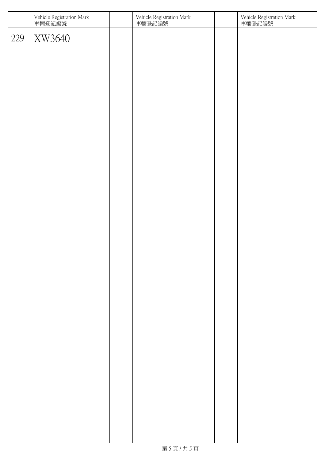|     | Vehicle Registration Mark<br>車輛登記編號 | Vehicle Registration Mark<br>車輛登記編號 | Vehicle Registration Mark<br>車輛登記編號 |
|-----|-------------------------------------|-------------------------------------|-------------------------------------|
| 229 | XW3640                              |                                     |                                     |
|     |                                     |                                     |                                     |
|     |                                     |                                     |                                     |
|     |                                     |                                     |                                     |
|     |                                     |                                     |                                     |
|     |                                     |                                     |                                     |
|     |                                     |                                     |                                     |
|     |                                     |                                     |                                     |
|     |                                     |                                     |                                     |
|     |                                     |                                     |                                     |
|     |                                     |                                     |                                     |
|     |                                     |                                     |                                     |
|     |                                     |                                     |                                     |
|     |                                     |                                     |                                     |
|     |                                     |                                     |                                     |
|     |                                     |                                     |                                     |
|     |                                     |                                     |                                     |
|     |                                     |                                     |                                     |
|     |                                     |                                     |                                     |
|     |                                     |                                     |                                     |
|     |                                     |                                     |                                     |
|     |                                     |                                     |                                     |
|     |                                     |                                     |                                     |
|     |                                     |                                     |                                     |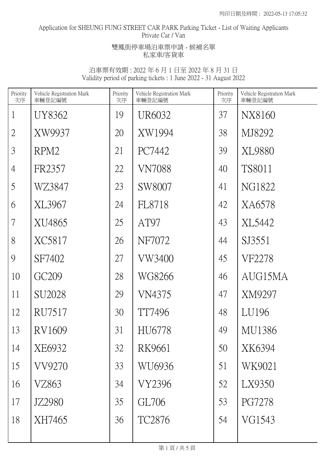# Application for SHEUNG FUNG STREET CAR PARK Parking Ticket - List of Waiting Applicants Private Car / Van

### 雙鳳街停車場泊車票申請 - 候補名單 私家車/客貨車

| Priority<br>次序 | Vehicle Registration Mark<br>車輛登記編號 | Priority<br>次序 | Vehicle Registration Mark<br>車輛登記編號 | Priority<br>次序 | Vehicle Registration Mark<br>車輛登記編號 |
|----------------|-------------------------------------|----------------|-------------------------------------|----------------|-------------------------------------|
| $\mathbf{1}$   | UY8362                              | 19             | UR6032                              | 37             | NX8160                              |
| $\overline{2}$ | XW9937                              | 20             | XW1994                              | 38             | MJ8292                              |
| 3              | RPM <sub>2</sub>                    | 21             | PC7442                              | 39             | XL9880                              |
| $\overline{4}$ | FR2357                              | 22             | <b>VN7088</b>                       | 40             | <b>TS8011</b>                       |
| 5              | WZ3847                              | 23             | SW8007                              | 41             | NG1822                              |
| 6              | XL3967                              | 24             | FL8718                              | 42             | XA6578                              |
| $\overline{7}$ | XU4865                              | 25             | AT97                                | 43             | XL5442                              |
| 8              | XC5817                              | 26             | NF7072                              | 44             | SJ3551                              |
| 9              | SF7402                              | 27             | VW3400                              | 45             | VF2278                              |
| 10             | GC <sub>209</sub>                   | 28             | WG8266                              | 46             | AUG15MA                             |
| 11             | SU2028                              | 29             | VN4375                              | 47             | XM9297                              |
| 12             | RU7517                              | 30             | TT7496                              | 48             | LU196                               |
| 13             | RV1609                              | 31             | HU6778                              | 49             | MU1386                              |
| 14             | XE6932                              | 32             | RK9661                              | 50             | XK6394                              |
| 15             | VV9270                              | 33             | WU6936                              | 51             | WK9021                              |
| 16             | VZ863                               | 34             | VY2396                              | 52             | LX9350                              |
| 17             | JZ2980                              | 35             | GL706                               | 53             | <b>PG7278</b>                       |
| 18             | XH7465                              | 36             | TC2876                              | 54             | VG1543                              |
|                |                                     |                |                                     |                |                                     |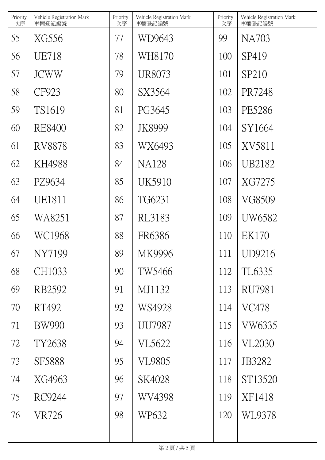| Priority<br>次序 | Vehicle Registration Mark<br>車輛登記編號 | Priority<br>次序 | Vehicle Registration Mark<br>車輛登記編號 | Priority<br>次序 | Vehicle Registration Mark<br>車輛登記編號 |
|----------------|-------------------------------------|----------------|-------------------------------------|----------------|-------------------------------------|
| 55             | XG556                               | 77             | WD9643                              | 99             | NA703                               |
| 56             | <b>UE718</b>                        | 78             | WH8170                              | 100            | SP419                               |
| 57             | <b>JCWW</b>                         | 79             | UR8073                              | 101            | SP210                               |
| 58             | CF923                               | 80             | SX3564                              | 102            | PR7248                              |
| 59             | TS1619                              | 81             | PG3645                              | 103            | PE5286                              |
| 60             | <b>RE8400</b>                       | 82             | JK8999                              | 104            | SY1664                              |
| 61             | RV8878                              | 83             | WX6493                              | 105            | XV5811                              |
| 62             | KH4988                              | 84             | <b>NA128</b>                        | 106            | UB2182                              |
| 63             | PZ9634                              | 85             | UK5910                              | 107            | XG7275                              |
| 64             | UE1811                              | 86             | TG6231                              | 108            | VG8509                              |
| 65             | WA8251                              | 87             | RL3183                              | 109            | UW6582                              |
| 66             | WC1968                              | 88             | FR6386                              | 110            | EK170                               |
| 67             | NY7199                              | 89             | MK9996                              | 111            | UD9216                              |
| 68             | CH1033                              | 90             | TW5466                              | 112            | TL6335                              |
| 69             | RB2592                              | 91             | MJ1132                              | 113            | <b>RU7981</b>                       |
| 70             | RT492                               | 92             | WS4928                              | 114            | <b>VC478</b>                        |
| 71             | <b>BW990</b>                        | 93             | <b>UU7987</b>                       | 115            | <b>VW6335</b>                       |
| 72             | TY2638                              | 94             | VL5622                              | 116            | <b>VL2030</b>                       |
| 73             | SF5888                              | 95             | <b>VL9805</b>                       | 117            | JB3282                              |
| 74             | XG4963                              | 96             | SK4028                              | 118            | ST13520                             |
| 75             | RC9244                              | 97             | WV4398                              | 119            | XF1418                              |
| 76             | VR726                               | 98             | WP632                               | 120            | WL9378                              |
|                |                                     |                |                                     |                |                                     |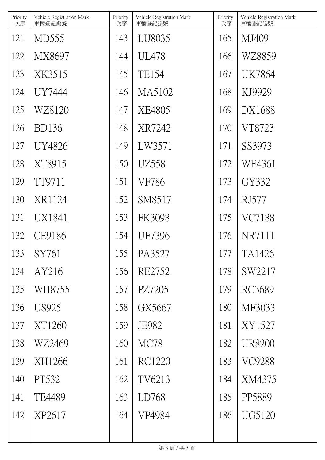| Priority<br>次序 | Vehicle Registration Mark<br>車輛登記編號 | Priority<br>次序 | Vehicle Registration Mark<br>車輛登記編號 | Priority<br>次序 | Vehicle Registration Mark<br>車輛登記編號 |
|----------------|-------------------------------------|----------------|-------------------------------------|----------------|-------------------------------------|
| 121            | MD555                               | 143            | LU8035                              | 165            | MJ409                               |
| 122            | MX8697                              | 144            | <b>UL478</b>                        | 166            | WZ8859                              |
| 123            | XK3515                              | 145            | <b>TE154</b>                        | 167            | <b>UK7864</b>                       |
| 124            | UY7444                              | 146            | MA5102                              | 168            | KJ9929                              |
| 125            | WZ8120                              | 147            | XE4805                              | 169            | DX1688                              |
| 126            | <b>BD136</b>                        | 148            | XR7242                              | 170            | VT8723                              |
| 127            | UY4826                              | 149            | LW3571                              | 171            | SS3973                              |
| 128            | XT8915                              | 150            | UZ558                               | 172            | WE4361                              |
| 129            | TT9711                              | 151            | VF786                               | 173            | GY332                               |
| 130            | XR1124                              | 152            | SM8517                              | 174            | <b>RJ577</b>                        |
| 131            | UX1841                              | 153            | <b>FK3098</b>                       | 175            | VC7188                              |
| 132            | CE9186                              | 154            | UF7396                              | 176            | NR7111                              |
| 133            | SY761                               | 155            | PA3527                              | 177            | TA1426                              |
| 134            | AY216                               | 156            | RE2752                              | 178            | SW2217                              |
| 135            | WH8755                              | 157            | PZ7205                              | 179            | RC3689                              |
| 136            | <b>US925</b>                        | 158            | GX5667                              | 180            | MF3033                              |
| 137            | XT1260                              | 159            | <b>JE982</b>                        | 181            | XY1527                              |
| 138            | WZ2469                              | 160            | MC78                                | 182            | <b>UR8200</b>                       |
| 139            | XH1266                              | 161            | RC1220                              | 183            | <b>VC9288</b>                       |
| 140            | PT532                               | 162            | TV6213                              | 184            | XM4375                              |
| 141            | TE4489                              | 163            | LD768                               | 185            | PP5889                              |
| 142            | XP2617                              | 164            | VP4984                              | 186            | UG5120                              |
|                |                                     |                |                                     |                |                                     |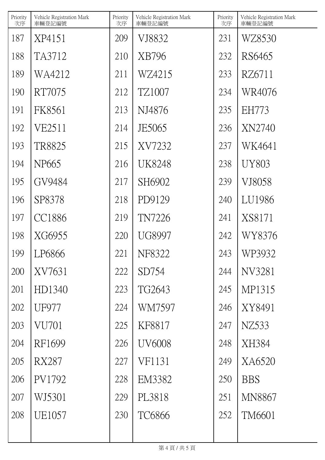| Priority<br>次序 | Vehicle Registration Mark<br>車輛登記編號 | Priority<br>次序 | Vehicle Registration Mark<br>車輛登記編號 | Priority<br>次序 | Vehicle Registration Mark<br>車輛登記編號 |
|----------------|-------------------------------------|----------------|-------------------------------------|----------------|-------------------------------------|
| 187            | XP4151                              | 209            | VJ8832                              | 231            | WZ8530                              |
| 188            | TA3712                              | 210            | XB796                               | 232            | RS6465                              |
| 189            | WA4212                              | 211            | WZ4215                              | 233            | RZ6711                              |
| 190            | RT7075                              | 212            | TZ1007                              | 234            | WR4076                              |
| 191            | FK8561                              | 213            | NJ4876                              | 235            | <b>EH773</b>                        |
| 192            | VE2511                              | 214            | JE5065                              | 236            | XN2740                              |
| 193            | TR8825                              | 215            | XV7232                              | 237            | WK4641                              |
| 194            | NP <sub>665</sub>                   | 216            | <b>UK8248</b>                       | 238            | UY803                               |
| 195            | GV9484                              | 217            | SH6902                              | 239            | VJ8058                              |
| 196            | SP8378                              | 218            | PD9129                              | 240            | LU1986                              |
| 197            | <b>CC1886</b>                       | 219            | TN7226                              | 241            | XS8171                              |
| 198            | XG6955                              | 220            | <b>UG8997</b>                       | 242            | WY8376                              |
| 199            | LP6866                              | 221            | NF8322                              | 243            | WP3932                              |
| 200            | XV7631                              | 222            | SD754                               | 244            | NV3281                              |
| 201            | HD1340                              | 223            | TG2643                              | 245            | MP1315                              |
| 202            | <b>UF977</b>                        | 224            | WM7597                              | 246            | XY8491                              |
| 203            | VU701                               | 225            | KF8817                              | 247            | NZ533                               |
| 204            | RF1699                              | 226            | <b>UV6008</b>                       | 248            | XH384                               |
| 205            | <b>RX287</b>                        | 227            | VF1131                              | 249            | XA6520                              |
| 206            | PV1792                              | 228            | EM3382                              | 250            | <b>BBS</b>                          |
| 207            | WJ5301                              | 229            | PL3818                              | 251            | <b>MN8867</b>                       |
| 208            | UE1057                              | 230            | <b>TC6866</b>                       | 252            | TM6601                              |
|                |                                     |                |                                     |                |                                     |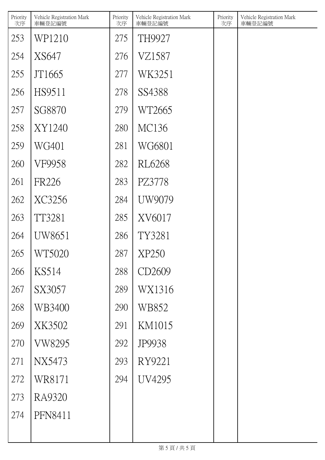| Priority<br>次序 | Vehicle Registration Mark<br>車輛登記編號 | Priority<br>次序 | Vehicle Registration Mark<br>車輛登記編號 | Priority<br>次序 | Vehicle Registration Mark<br>車輛登記編號 |
|----------------|-------------------------------------|----------------|-------------------------------------|----------------|-------------------------------------|
| 253            | WP1210                              | 275            | TH9927                              |                |                                     |
| 254            | XS647                               | 276            | VZ1587                              |                |                                     |
| 255            | JT1665                              | 277            | WK3251                              |                |                                     |
| 256            | HS9511                              | 278            | SS4388                              |                |                                     |
| 257            | SG8870                              | 279            | WT2665                              |                |                                     |
| 258            | XY1240                              | 280            | MC136                               |                |                                     |
| 259            | WG401                               | 281            | WG6801                              |                |                                     |
| 260            | VF9958                              | 282            | RL6268                              |                |                                     |
| 261            | <b>FR226</b>                        | 283            | PZ3778                              |                |                                     |
| 262            | XC3256                              | 284            | UW9079                              |                |                                     |
| 263            | TT3281                              | 285            | XV6017                              |                |                                     |
| 264            | UW8651                              | 286            | TY3281                              |                |                                     |
| 265            | WT5020                              | 287            | XP250                               |                |                                     |
| 266            | KS514                               | 288            | CD2609                              |                |                                     |
| 267            | SX3057                              | 289            | WX1316                              |                |                                     |
| 268            | WB3400                              | 290            | WB852                               |                |                                     |
| 269            | XK3502                              | 291            | KM1015                              |                |                                     |
| 270            | VW8295                              | 292            | <b>JP9938</b>                       |                |                                     |
| 271            | NX5473                              | 293            | RY9221                              |                |                                     |
| 272            | WR8171                              | 294            | UV4295                              |                |                                     |
| 273            | RA9320                              |                |                                     |                |                                     |
| 274            | PFN8411                             |                |                                     |                |                                     |
|                |                                     |                |                                     |                |                                     |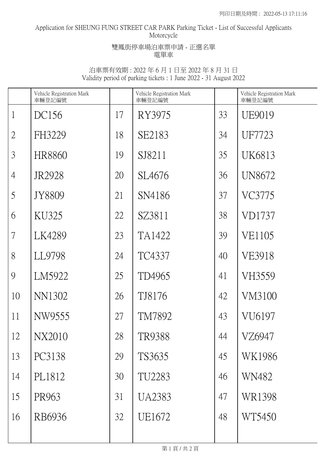## Application for SHEUNG FUNG STREET CAR PARK Parking Ticket - List of Successful Applicants Motorcycle

### 雙鳳街停車場泊車票申請 - 正選名單 電單車

|                | Vehicle Registration Mark<br>車輛登記編號 |    | Vehicle Registration Mark<br>車輛登記編號 |    | Vehicle Registration Mark<br>車輛登記編號 |
|----------------|-------------------------------------|----|-------------------------------------|----|-------------------------------------|
| $\mathbf{1}$   | DC156                               | 17 | RY3975                              | 33 | UE9019                              |
| $\overline{2}$ | FH3229                              | 18 | SE2183                              | 34 | UF7723                              |
| 3              | <b>HR8860</b>                       | 19 | SJ8211                              | 35 | UK6813                              |
| $\overline{4}$ | JR2928                              | 20 | SL4676                              | 36 | UN8672                              |
| 5              | JY8809                              | 21 | SN4186                              | 37 | VC3775                              |
| 6              | KU325                               | 22 | SZ3811                              | 38 | VD1737                              |
| 7              | LK4289                              | 23 | TA1422                              | 39 | VE1105                              |
| 8              | LL9798                              | 24 | TC4337                              | 40 | <b>VE3918</b>                       |
| 9              | LM5922                              | 25 | TD4965                              | 41 | VH3559                              |
| 10             | NN1302                              | 26 | TJ8176                              | 42 | VM3100                              |
| 11             | NW9555                              | 27 | TM7892                              | 43 | VU6197                              |
| 12             | <b>NX2010</b>                       | 28 | <b>TR9388</b>                       | 44 | VZ6947                              |
| 13             | PC3138                              | 29 | TS3635                              | 45 | WK1986                              |
| 14             | PL1812                              | 30 | TU2283                              | 46 | WN482                               |
| 15             | PR963                               | 31 | <b>UA2383</b>                       | 47 | WR1398                              |
| 16             | RB6936                              | 32 | UE1672                              | 48 | WT5450                              |
|                |                                     |    |                                     |    |                                     |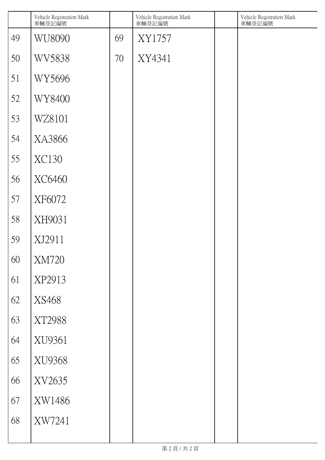|    | Vehicle Registration Mark<br>車輛登記編號 |    | Vehicle Registration Mark<br>車輛登記編號 | Vehicle Registration Mark<br>車輛登記編號 |
|----|-------------------------------------|----|-------------------------------------|-------------------------------------|
| 49 | WU8090                              | 69 | XY1757                              |                                     |
| 50 | <b>WV5838</b>                       | 70 | XY4341                              |                                     |
| 51 | WY5696                              |    |                                     |                                     |
| 52 | WY8400                              |    |                                     |                                     |
| 53 | WZ8101                              |    |                                     |                                     |
| 54 | XA3866                              |    |                                     |                                     |
| 55 | <b>XC130</b>                        |    |                                     |                                     |
| 56 | XC6460                              |    |                                     |                                     |
| 57 | XF6072                              |    |                                     |                                     |
| 58 | XH9031                              |    |                                     |                                     |
| 59 | XJ2911                              |    |                                     |                                     |
| 60 | <b>XM720</b>                        |    |                                     |                                     |
| 61 | XP2913                              |    |                                     |                                     |
| 62 | XS468                               |    |                                     |                                     |
| 63 | XT2988                              |    |                                     |                                     |
| 64 | XU9361                              |    |                                     |                                     |
| 65 | XU9368                              |    |                                     |                                     |
| 66 | XV2635                              |    |                                     |                                     |
| 67 | XW1486                              |    |                                     |                                     |
| 68 | XW7241                              |    |                                     |                                     |
|    |                                     |    |                                     |                                     |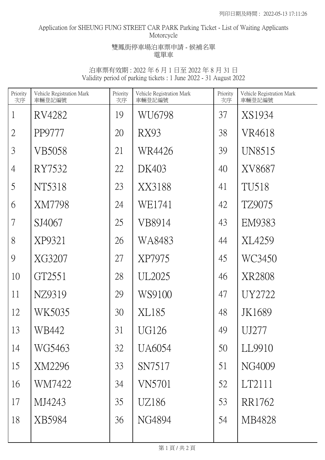## Application for SHEUNG FUNG STREET CAR PARK Parking Ticket - List of Waiting Applicants Motorcycle

### 雙鳳街停車場泊車票申請 - 候補名單 電單車

| Priority<br>次序 | Vehicle Registration Mark<br>車輛登記編號 | Priority<br>次序 | Vehicle Registration Mark<br>車輛登記編號 | Priority<br>次序 | Vehicle Registration Mark<br>車輛登記編號 |
|----------------|-------------------------------------|----------------|-------------------------------------|----------------|-------------------------------------|
| $\mathbf{1}$   | RV4282                              | 19             | WU6798                              | 37             | XS1934                              |
| $\overline{2}$ | PP9777                              | 20             | RX93                                | 38             | VR4618                              |
| 3              | VB5058                              | 21             | WR4426                              | 39             | UN8515                              |
| $\overline{4}$ | RY7532                              | 22             | DK403                               | 40             | XV8687                              |
| 5              | NT5318                              | 23             | XX3188                              | 41             | TU518                               |
| 6              | XM7798                              | 24             | WE1741                              | 42             | TZ9075                              |
| $\overline{7}$ | SJ4067                              | 25             | VB8914                              | 43             | EM9383                              |
| 8              | XP9321                              | 26             | WA8483                              | 44             | XL4259                              |
| 9              | XG3207                              | 27             | XP7975                              | 45             | WC3450                              |
| 10             | GT2551                              | 28             | UL <sub>2025</sub>                  | 46             | XR2808                              |
| 11             | NZ9319                              | 29             | WS9100                              | 47             | UY2722                              |
| 12             | WK5035                              | 30             | XL185                               | 48             | JK1689                              |
| 13             | WB442                               | 31             | UG126                               | 49             | UJ277                               |
| 14             | WG5463                              | 32             | UA6054                              | 50             | LL9910                              |
| 15             | XM2296                              | 33             | SN7517                              | 51             | NG4009                              |
| 16             | WM7422                              | 34             | <b>VN5701</b>                       | 52             | LT2111                              |
| 17             | MJ4243                              | 35             | UZ186                               | 53             | RR1762                              |
| 18             | XB5984                              | 36             | NG4894                              | 54             | MB4828                              |
|                |                                     |                |                                     |                |                                     |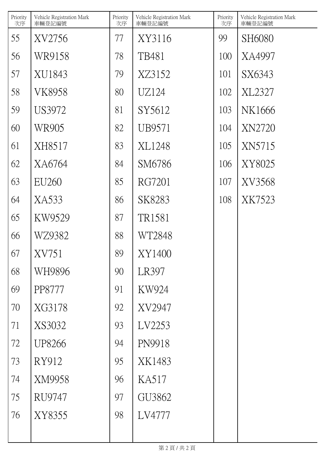| Priority<br>次序 | Vehicle Registration Mark<br>車輛登記編號 | Priority<br>次序 | Vehicle Registration Mark<br>車輛登記編號 | Priority<br>次序 | Vehicle Registration Mark<br>車輛登記編號 |
|----------------|-------------------------------------|----------------|-------------------------------------|----------------|-------------------------------------|
| 55             | XV2756                              | 77             | XY3116                              | 99             | SH6080                              |
| 56             | WR9158                              | 78             | TB481                               | 100            | XA4997                              |
| 57             | XU1843                              | 79             | XZ3152                              | 101            | SX6343                              |
| 58             | <b>VK8958</b>                       | 80             | UZ124                               | 102            | XL2327                              |
| 59             | US3972                              | 81             | SY5612                              | 103            | NK1666                              |
| 60             | WR905                               | 82             | UB9571                              | 104            | <b>XN2720</b>                       |
| 61             | XH8517                              | 83             | XL1248                              | 105            | XN5715                              |
| 62             | XA6764                              | 84             | SM6786                              | 106            | XY8025                              |
| 63             | <b>EU260</b>                        | 85             | RG7201                              | 107            | XV3568                              |
| 64             | XA533                               | 86             | SK8283                              | 108            | XK7523                              |
| 65             | KW9529                              | 87             | TR1581                              |                |                                     |
| 66             | WZ9382                              | 88             | WT2848                              |                |                                     |
| 67             | XV751                               | 89             | XY1400                              |                |                                     |
| 68             | WH9896                              | 90             | LR397                               |                |                                     |
| 69             | PP8777                              | 91             | KW924                               |                |                                     |
| 70             | XG3178                              | 92             | XV2947                              |                |                                     |
| 71             | XS3032                              | 93             | LV2253                              |                |                                     |
| 72             | UP8266                              | 94             | PN9918                              |                |                                     |
| 73             | RY912                               | 95             | XK1483                              |                |                                     |
| 74             | XM9958                              | 96             | KA517                               |                |                                     |
| 75             | RU9747                              | 97             | GU3862                              |                |                                     |
| 76             | XY8355                              | 98             | LV4777                              |                |                                     |
|                |                                     |                |                                     |                |                                     |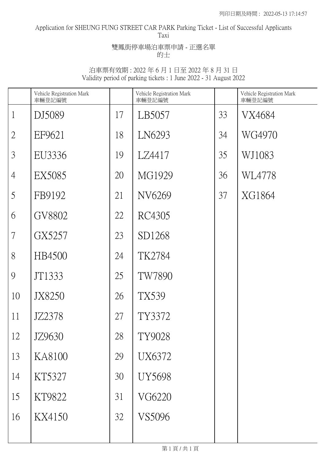#### Application for SHEUNG FUNG STREET CAR PARK Parking Ticket - List of Successful Applicants Taxi

雙鳳街停車場泊車票申請 - 正選名單 的士

|                | Vehicle Registration Mark<br>車輛登記編號 |                 | Vehicle Registration Mark<br>車輛登記編號 |    | Vehicle Registration Mark<br>車輛登記編號 |
|----------------|-------------------------------------|-----------------|-------------------------------------|----|-------------------------------------|
| $\mathbf{1}$   | DJ5089                              | 17              | LB5057                              | 33 | VX4684                              |
| $\overline{2}$ | EF9621                              | 18              | LN6293                              | 34 | WG4970                              |
| $\mathfrak{Z}$ | EU3336                              | 19              | LZ4417                              | 35 | WJ1083                              |
| $\overline{4}$ | <b>EX5085</b>                       | 20              | MG1929                              | 36 | WL4778                              |
| 5              | FB9192                              | 21              | NV6269                              | 37 | XG1864                              |
| 6              | GV8802                              | 22              | RC4305                              |    |                                     |
| $\overline{7}$ | GX5257                              | 23              | SD1268                              |    |                                     |
| 8              | HB4500                              | 24              | TK2784                              |    |                                     |
| 9              | JT1333                              | 25              | <b>TW7890</b>                       |    |                                     |
| 10             | JX8250                              | 26              | TX539                               |    |                                     |
| 11             | JZ2378                              | 27              | TY3372                              |    |                                     |
| 12             | JZ9630                              | 28              | TY9028                              |    |                                     |
| 13             | KA8100                              | 29              | <b>UX6372</b>                       |    |                                     |
| 14             | KT5327                              | 30 <sup>°</sup> | <b>UY5698</b>                       |    |                                     |
| 15             | KT9822                              | 31              | VG6220                              |    |                                     |
| 16             | KX4150                              | 32              | VS5096                              |    |                                     |
|                |                                     |                 |                                     |    |                                     |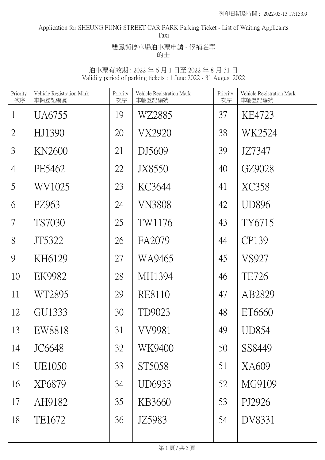#### Application for SHEUNG FUNG STREET CAR PARK Parking Ticket - List of Waiting Applicants Taxi

雙鳳街停車場泊車票申請 - 候補名單 的士

| Priority<br>次序           | Vehicle Registration Mark<br>車輛登記編號 | Priority<br>次序 | Vehicle Registration Mark<br>車輛登記編號 | Priority<br>次序 | Vehicle Registration Mark<br>車輛登記編號 |
|--------------------------|-------------------------------------|----------------|-------------------------------------|----------------|-------------------------------------|
| $\mathbf{1}$             | UA6755                              | 19             | WZ2885                              | 37             | KE4723                              |
| $\overline{2}$           | HJ1390                              | 20             | VX2920                              | 38             | WK2524                              |
| 3                        | <b>KN2600</b>                       | 21             | DJ5609                              | 39             | JZ7347                              |
| $\overline{4}$           | PE5462                              | 22             | JX8550                              | 40             | GZ9028                              |
| 5                        | WV1025                              | 23             | KC3644                              | 41             | XC358                               |
| 6                        | PZ963                               | 24             | <b>VN3808</b>                       | 42             | <b>UD896</b>                        |
| $\overline{\mathcal{L}}$ | TS7030                              | 25             | TW1176                              | 43             | TY6715                              |
| 8                        | JT5322                              | 26             | FA2079                              | 44             | CP139                               |
| 9                        | KH6129                              | 27             | WA9465                              | 45             | VS927                               |
| 10                       | EK9982                              | 28             | MH1394                              | 46             | <b>TE726</b>                        |
| 11                       | WT2895                              | 29             | RE8110                              | 47             | AB2829                              |
| 12                       | GU1333                              | 30             | TD9023                              | 48             | ET6660                              |
| 13                       | EW8818                              | 31             | VV9981                              | 49             | UD854                               |
| 14                       | JC6648                              | 32             | WK9400                              | 50             | SS8449                              |
| 15                       | UE1050                              | 33             | ST5058                              | 51             | XA609                               |
| 16                       | XP6879                              | 34             | UD6933                              | 52             | MG9109                              |
| 17                       | AH9182                              | 35             | KB3660                              | 53             | PJ2926                              |
| 18                       | TE1672                              | 36             | JZ5983                              | 54             | DV8331                              |
|                          |                                     |                |                                     |                |                                     |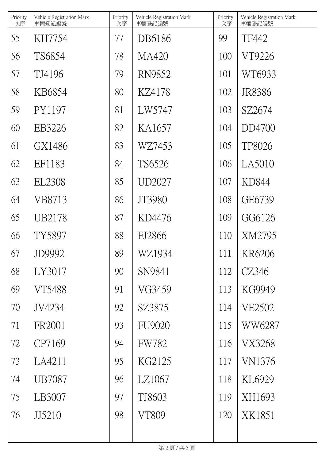| Priority<br>次序 | Vehicle Registration Mark<br>車輛登記編號 | Priority<br>次序 | Vehicle Registration Mark<br>車輛登記編號 | Priority<br>次序 | Vehicle Registration Mark<br>車輛登記編號 |
|----------------|-------------------------------------|----------------|-------------------------------------|----------------|-------------------------------------|
| 55             | KH7754                              | 77             | DB6186                              | 99             | TF442                               |
| 56             | TS6854                              | 78             | MA420                               | 100            | VT9226                              |
| 57             | TJ4196                              | 79             | RN9852                              | 101            | WT6933                              |
| 58             | KB6854                              | 80             | KZ4178                              | 102            | JR8386                              |
| 59             | PY1197                              | 81             | LW5747                              | 103            | SZ2674                              |
| 60             | EB3226                              | 82             | KA1657                              | 104            | DD4700                              |
| 61             | GX1486                              | 83             | WZ7453                              | 105            | TP8026                              |
| 62             | EF1183                              | 84             | TS6526                              | 106            | LA5010                              |
| 63             | EL2308                              | 85             | UD2027                              | 107            | KD844                               |
| 64             | VB8713                              | 86             | JT3980                              | 108            | GE6739                              |
| 65             | UB2178                              | 87             | KD4476                              | 109            | GG6126                              |
| 66             | TY5897                              | 88             | FJ2866                              | 110            | XM2795                              |
| 67             | JD9992                              | 89             | WZ1934                              | 111            | KR6206                              |
| 68             | LY3017                              | 90             | SN9841                              | 112            | CZ346                               |
| 69             | VT5488                              | 91             | VG3459                              | 113            | KG9949                              |
| 70             | JV4234                              | 92             | SZ3875                              | 114            | VE2502                              |
| 71             | FR2001                              | 93             | <b>FU9020</b>                       | 115            | WW6287                              |
| 72             | CP7169                              | 94             | <b>FW782</b>                        | 116            | VX3268                              |
| 73             | LA4211                              | 95             | KG2125                              | 117            | <b>VN1376</b>                       |
| 74             | UB7087                              | 96             | LZ1067                              | 118            | KL6929                              |
| 75             | LB3007                              | 97             | TJ8603                              | 119            | XH1693                              |
| 76             | JJ5210                              | 98             | <b>VT809</b>                        | 120            | XK1851                              |
|                |                                     |                |                                     |                |                                     |